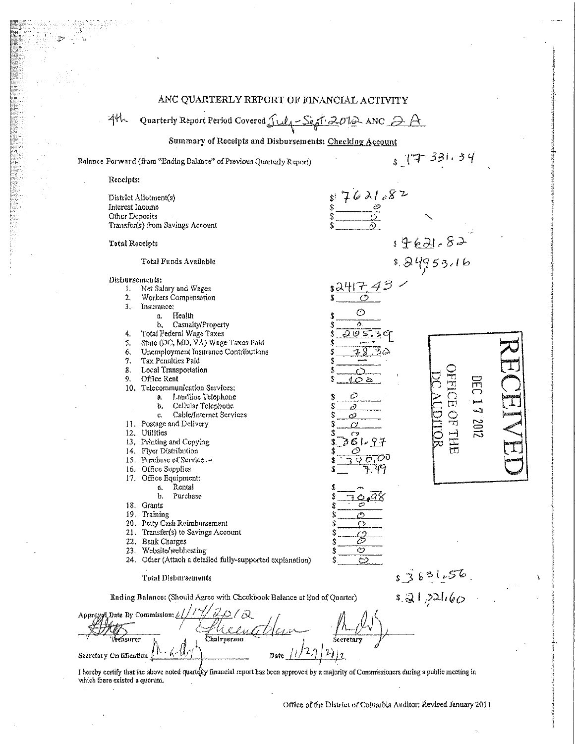|                                                                       | ANC QUARTERLY REPORT OF FINANCIAL ACTIVITY                                                                                                                                                                                                                                                                                                                                                                                                                                                                                                                                                                                                                                                                                                                                                                                                 |                                                                                                                                                                |                                                                |                                  |
|-----------------------------------------------------------------------|--------------------------------------------------------------------------------------------------------------------------------------------------------------------------------------------------------------------------------------------------------------------------------------------------------------------------------------------------------------------------------------------------------------------------------------------------------------------------------------------------------------------------------------------------------------------------------------------------------------------------------------------------------------------------------------------------------------------------------------------------------------------------------------------------------------------------------------------|----------------------------------------------------------------------------------------------------------------------------------------------------------------|----------------------------------------------------------------|----------------------------------|
| 44                                                                    | Quarterly Report Period Covered $\int u \, \sqrt{2} \, \delta t \, \partial v$ ANC $\partial A$                                                                                                                                                                                                                                                                                                                                                                                                                                                                                                                                                                                                                                                                                                                                            |                                                                                                                                                                |                                                                |                                  |
|                                                                       | Summary of Receipts and Disbursements: Checking Account                                                                                                                                                                                                                                                                                                                                                                                                                                                                                                                                                                                                                                                                                                                                                                                    |                                                                                                                                                                |                                                                |                                  |
|                                                                       | Balance Forward (from "Ending Balance" of Previous Quarterly Report)                                                                                                                                                                                                                                                                                                                                                                                                                                                                                                                                                                                                                                                                                                                                                                       |                                                                                                                                                                | 877381.34                                                      |                                  |
| Receipts:                                                             |                                                                                                                                                                                                                                                                                                                                                                                                                                                                                                                                                                                                                                                                                                                                                                                                                                            |                                                                                                                                                                |                                                                |                                  |
| Interest Income<br>Other Deposits<br>Total Receipts                   | District Allotment(s)<br>Transfer(s) from Savings Account                                                                                                                                                                                                                                                                                                                                                                                                                                                                                                                                                                                                                                                                                                                                                                                  | $s = \frac{7621682}{8}$                                                                                                                                        |                                                                |                                  |
|                                                                       | Total Funds Available                                                                                                                                                                                                                                                                                                                                                                                                                                                                                                                                                                                                                                                                                                                                                                                                                      |                                                                                                                                                                | 19621-82<br>1.24953.16                                         |                                  |
| Disbursements:<br>I.<br>2.<br>3.1<br>4.<br>5.<br>6.<br>7.<br>8.<br>9. | Net Salary and Wages<br>Workers Compensation<br>Insurance:<br>Health<br>δ,<br>Casualty/Property<br>b.<br>Total Federal Wage Taxes<br>State (DC, MD, VA) Wage Taxes Paid<br>Unemployment Insurance Contributions<br>Tax Penalties Paid<br>Local Transportation<br>Office Rent<br>10. Telecommunication Services;<br>Landline Telephone<br>₿,<br>Cellular Telephone<br>b.<br>Cable/Internet Services<br>c.<br>11. Postage and Delivery<br>12. Utilities<br>13. Printing and Copying<br>14. Flyer Distribution<br>15. Purchase of Service .-<br>16. Office Supplies<br>17. Office Equipment:<br>Rental<br>б.<br>h.<br>Purchase<br>18. Grants<br>19. Training<br>20. Petty Cash Reimbursement<br>21. Transfer(s) to Savings Account<br>22. Bank Charges<br>23. Website/webhosting<br>24. Other (Attach a detailed fully-supported explanation) | s247<br>⊘<br>\$<br>Ŝ<br>Δ.<br>95<br>402<br>∂<br>Õ<br>ර<br>Ò<br>Ò<br>\$766697<br>9000<br>r . 74<br>℺<br>S<br>O<br>Ŝ<br>O<br>$\mathcal{B}$<br>$\circ$<br>$\circ$ | <b>FECEOFTHE</b><br>DEC<br><b>102.41</b><br>NDINGR<br>s3631,56 | 325332000<br>经通货运费<br>1102209025 |
|                                                                       | <b>Total Disbursements</b><br>Ending Balance: (Should Agree with Checkbook Balance at End of Quarter)                                                                                                                                                                                                                                                                                                                                                                                                                                                                                                                                                                                                                                                                                                                                      |                                                                                                                                                                | $\frac{1}{2}$ = $\frac{1}{2}$                                  |                                  |
| lveasurer<br>Secretary Certification                                  | 20/2<br>Approxel, Date By Commission: /<br>Chairperson                                                                                                                                                                                                                                                                                                                                                                                                                                                                                                                                                                                                                                                                                                                                                                                     |                                                                                                                                                                |                                                                |                                  |

I hereby certify that the above noted quarterly financial report has been approved by a majority of Commissioners during a public meeting in which there existed a quorum.

Office of the District of Columbia Auditor: Revised January 2011

λ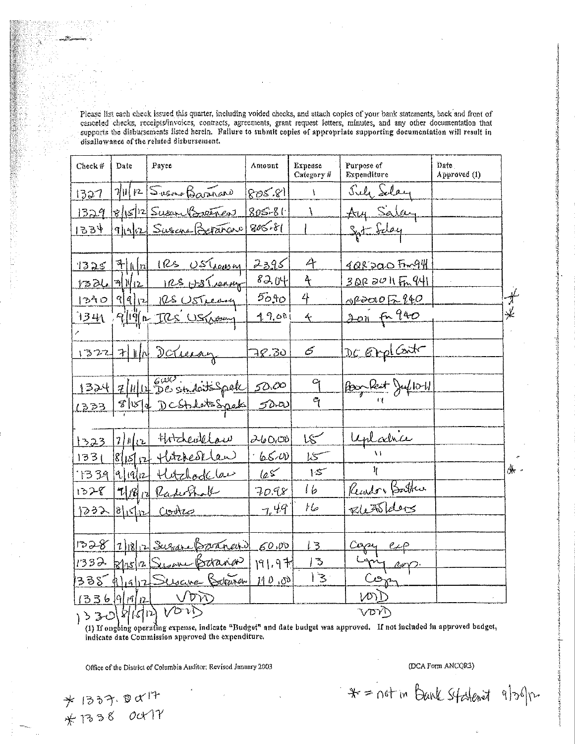Please list each check issued this quarter, including voided checks, and attach copies of your bank statements, back and front of canceled checks, receipts/invoices, contracts, agreements, grant request letters, minutes, and any other documentation that supports the disbursements listed herein. Failure to submit copies of appropriate supporting documentation will result in disallowance of the related disbursement.

| Check#         | Date               | Payee                                      | Amount     | Expense<br>Category $\#$ | Purpose of<br>Expenditure | Date<br>Approved (1) |                     |
|----------------|--------------------|--------------------------------------------|------------|--------------------------|---------------------------|----------------------|---------------------|
| 1327           |                    | $7 0 $ $12$ Susono Baranano                | 805.81     | A                        | July Selay                |                      |                     |
| 1329           |                    | $8 15 $ 2 Susan Breenew                    | $805 - 81$ |                          | Aug Salay                 |                      |                     |
| 1534           |                    | 9/19/12 Susana Betañaro                    | $805 - 81$ |                          | Syst Selay                |                      |                     |
|                |                    |                                            |            |                          |                           |                      |                     |
|                |                    | $1325$ + 1   $\frac{n}{2}$ 1 Rs Ustreasing | 2395       | A                        | <u>408200 Fmq4</u>        |                      |                     |
|                |                    | 1326 7 1/12 1 RS H3 ( ranny)               | 8204       | $\ddot{\uparrow}$        | 3022011Fm 941             |                      |                     |
|                |                    | 1240  9972  105050004                      | $50 + 0$   | 4                        | 082201052940              |                      | $\frac{1}{\lambda}$ |
| <u>134</u> 0 。 |                    | 9/19/12 US Wery                            | 49.001     | $\leftarrow$             | <u>2011 fr 940</u>        |                      | ≰                   |
|                |                    |                                            |            |                          |                           |                      |                     |
|                |                    | 1322 7 1 1 Deluay                          | 78.30      | $\epsilon$               | DC Empl Contr             |                      |                     |
|                |                    |                                            |            |                          |                           |                      |                     |
|                |                    | 1324 7/4/12 See students Spoke 50.00       |            | 9                        | Por Reit Julioll          |                      |                     |
|                |                    | 1333 8/15/0 DCStablishpeck 50.00           |            | $\tilde{q}$              |                           |                      |                     |
|                |                    |                                            |            |                          |                           |                      |                     |
|                | <u>1323 7/1/12</u> | thretevillow                               | 260,00     | مسجما                    | uplatice                  |                      |                     |
| 1331           |                    | $8 15 $ p + therefor law                   | 6500       | 15                       |                           |                      | 舟                   |
|                |                    | 1339 9/19/12 Hetchode law                  | 105        | 15                       | $\mathcal{H}$             |                      |                     |
|                |                    | 1328 7/18/10 Raderhall                     | 70.98      | 16                       | Reador Bather             |                      |                     |
|                |                    | 1232 8/15/12 Cootes                        | 7.49       | Иo                       | RLASLAUS                  |                      |                     |
|                |                    |                                            |            |                          |                           |                      |                     |
|                |                    | 1328 2/18/12 Susan Branand 60.00           |            | 13                       | Copy exp                  |                      |                     |
|                |                    | 1332 Rhs/2 Swane Baranan 191.97            |            | ే                        | Long exp.                 |                      |                     |
|                |                    | 338 4/19/12 Suscine Betraran 110,00        |            | $\mid$                   | Com                       |                      |                     |
|                |                    | $\frac{ 1336 9 9 1}{1330 8 16 17}$         |            |                          | (20)                      |                      |                     |
|                |                    |                                            |            |                          | VDYT                      |                      |                     |

(1) If ongoing operating expense, indicate "Budget" and date budget was approved. If not included in approved budget, indicate date Commission approved the expenditure.

Office of the District of Columbia Auditor: Revised January 2003

\* 1337.8017<br>\* 1338 Oct 17

(DCA Form ANCQR3)

\* = not in Bank Stateriet 9/36/12